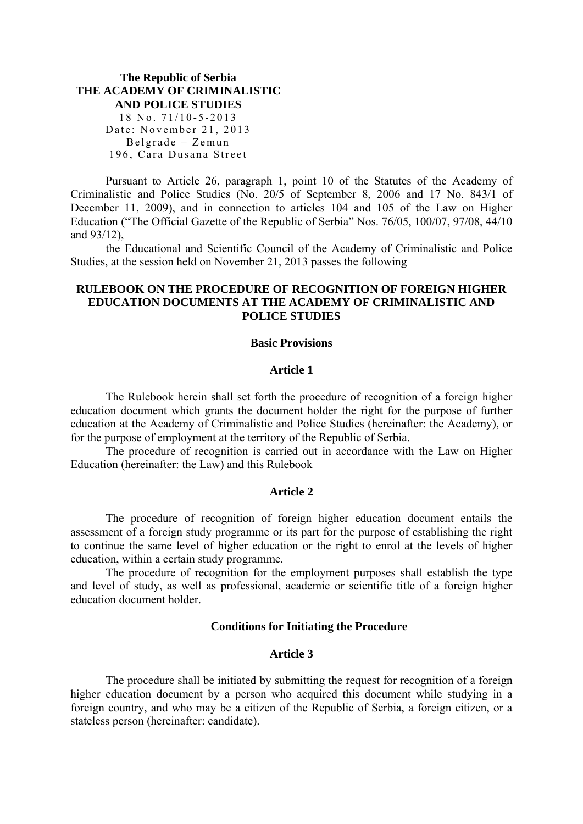### **The Republic of Serbia THE ACADEMY OF CRIMINALISTIC AND POLICE STUDIES**  18 No. 71/10-5-2013 Date: November 21, 2013 Belgrade – Zemun 196, Cara Dusana Street

Pursuant to Article 26, paragraph 1, point 10 of the Statutes of the Academy of Criminalistic and Police Studies (No. 20/5 of September 8, 2006 and 17 No. 843/1 of December 11, 2009), and in connection to articles 104 and 105 of the Law on Higher Education ("The Official Gazette of the Republic of Serbia" Nos. 76/05, 100/07, 97/08, 44/10 and 93/12),

the Educational and Scientific Council of the Academy of Criminalistic and Police Studies, at the session held on November 21, 2013 passes the following

# **RULEBOOK ON THE PROCEDURE OF RECOGNITION OF FOREIGN HIGHER EDUCATION DOCUMENTS AT THE ACADEMY OF CRIMINALISTIC AND POLICE STUDIES**

#### **Basic Provisions**

#### **Article 1**

The Rulebook herein shall set forth the procedure of recognition of a foreign higher education document which grants the document holder the right for the purpose of further education at the Academy of Criminalistic and Police Studies (hereinafter: the Academy), or for the purpose of employment at the territory of the Republic of Serbia.

The procedure of recognition is carried out in accordance with the Law on Higher Education (hereinafter: the Law) and this Rulebook

#### **Article 2**

The procedure of recognition of foreign higher education document entails the assessment of a foreign study programme or its part for the purpose of establishing the right to continue the same level of higher education or the right to enrol at the levels of higher education, within a certain study programme.

The procedure of recognition for the employment purposes shall establish the type and level of study, as well as professional, academic or scientific title of a foreign higher education document holder.

#### **Conditions for Initiating the Procedure**

### **Article 3**

The procedure shall be initiated by submitting the request for recognition of a foreign higher education document by a person who acquired this document while studying in a foreign country, and who may be a citizen of the Republic of Serbia, a foreign citizen, or a stateless person (hereinafter: candidate).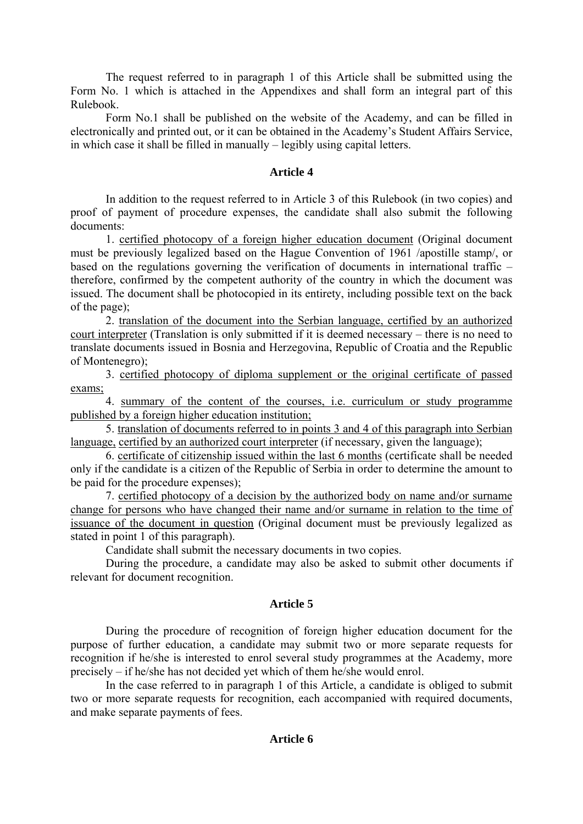The request referred to in paragraph 1 of this Article shall be submitted using the Form No. 1 which is attached in the Appendixes and shall form an integral part of this Rulebook.

Form No.1 shall be published on the website of the Academy, and can be filled in electronically and printed out, or it can be obtained in the Academy's Student Affairs Service, in which case it shall be filled in manually – legibly using capital letters.

### **Article 4**

In addition to the request referred to in Article 3 of this Rulebook (in two copies) and proof of payment of procedure expenses, the candidate shall also submit the following documents:

1. certified photocopy of a foreign higher education document (Original document must be previously legalized based on the Hague Convention of 1961 /apostille stamp/, or based on the regulations governing the verification of documents in international traffic – therefore, confirmed by the competent authority of the country in which the document was issued. The document shall be photocopied in its entirety, including possible text on the back of the page);

2. translation of the document into the Serbian language, certified by an authorized court interpreter (Translation is only submitted if it is deemed necessary – there is no need to translate documents issued in Bosnia and Herzegovina, Republic of Croatia and the Republic of Montenegro);

3. certified photocopy of diploma supplement or the original certificate of passed exams;

4. summary of the content of the courses, i.e. curriculum or study programme published by a foreign higher education institution;

5. translation of documents referred to in points 3 and 4 of this paragraph into Serbian language, certified by an authorized court interpreter (if necessary, given the language);

6. certificate of citizenship issued within the last 6 months (certificate shall be needed only if the candidate is a citizen of the Republic of Serbia in order to determine the amount to be paid for the procedure expenses);

7. certified photocopy of a decision by the authorized body on name and/or surname change for persons who have changed their name and/or surname in relation to the time of issuance of the document in question (Original document must be previously legalized as stated in point 1 of this paragraph).

Candidate shall submit the necessary documents in two copies.

During the procedure, a candidate may also be asked to submit other documents if relevant for document recognition.

# **Article 5**

During the procedure of recognition of foreign higher education document for the purpose of further education, a candidate may submit two or more separate requests for recognition if he/she is interested to enrol several study programmes at the Academy, more precisely – if he/she has not decided yet which of them he/she would enrol.

In the case referred to in paragraph 1 of this Article, a candidate is obliged to submit two or more separate requests for recognition, each accompanied with required documents, and make separate payments of fees.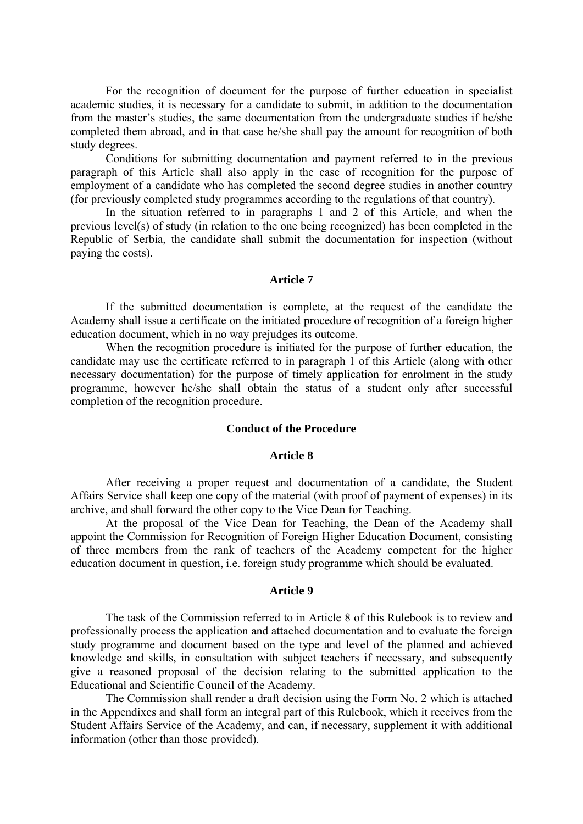For the recognition of document for the purpose of further education in specialist academic studies, it is necessary for a candidate to submit, in addition to the documentation from the master's studies, the same documentation from the undergraduate studies if he/she completed them abroad, and in that case he/she shall pay the amount for recognition of both study degrees.

Conditions for submitting documentation and payment referred to in the previous paragraph of this Article shall also apply in the case of recognition for the purpose of employment of a candidate who has completed the second degree studies in another country (for previously completed study programmes according to the regulations of that country).

In the situation referred to in paragraphs 1 and 2 of this Article, and when the previous level(s) of study (in relation to the one being recognized) has been completed in the Republic of Serbia, the candidate shall submit the documentation for inspection (without paying the costs).

#### **Article 7**

If the submitted documentation is complete, at the request of the candidate the Academy shall issue a certificate on the initiated procedure of recognition of a foreign higher education document, which in no way prejudges its outcome.

When the recognition procedure is initiated for the purpose of further education, the candidate may use the certificate referred to in paragraph 1 of this Article (along with other necessary documentation) for the purpose of timely application for enrolment in the study programme, however he/she shall obtain the status of a student only after successful completion of the recognition procedure.

#### **Conduct of the Procedure**

### **Article 8**

After receiving a proper request and documentation of a candidate, the Student Affairs Service shall keep one copy of the material (with proof of payment of expenses) in its archive, and shall forward the other copy to the Vice Dean for Teaching.

At the proposal of the Vice Dean for Teaching, the Dean of the Academy shall appoint the Commission for Recognition of Foreign Higher Education Document, consisting of three members from the rank of teachers of the Academy competent for the higher education document in question, i.e. foreign study programme which should be evaluated.

#### **Article 9**

The task of the Commission referred to in Article 8 of this Rulebook is to review and professionally process the application and attached documentation and to evaluate the foreign study programme and document based on the type and level of the planned and achieved knowledge and skills, in consultation with subject teachers if necessary, and subsequently give a reasoned proposal of the decision relating to the submitted application to the Educational and Scientific Council of the Academy.

The Commission shall render a draft decision using the Form No. 2 which is attached in the Appendixes and shall form an integral part of this Rulebook, which it receives from the Student Affairs Service of the Academy, and can, if necessary, supplement it with additional information (other than those provided).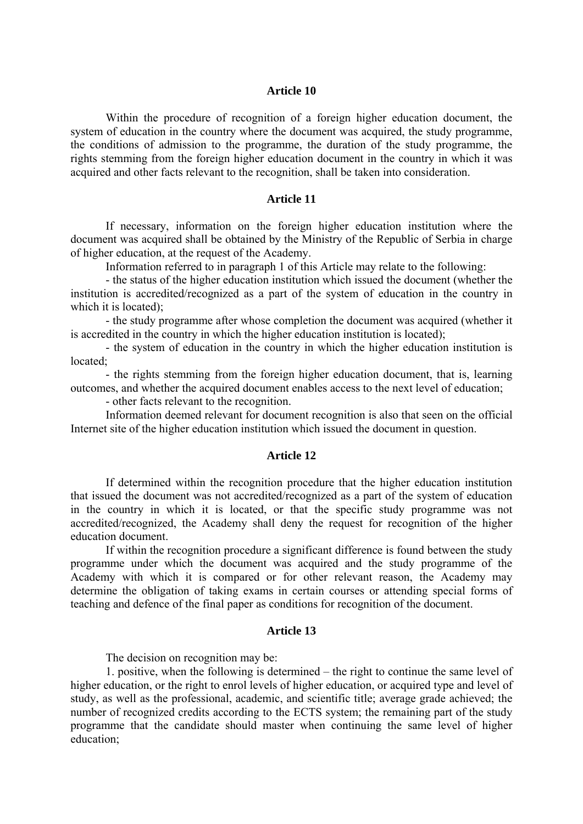#### **Article 10**

Within the procedure of recognition of a foreign higher education document, the system of education in the country where the document was acquired, the study programme, the conditions of admission to the programme, the duration of the study programme, the rights stemming from the foreign higher education document in the country in which it was acquired and other facts relevant to the recognition, shall be taken into consideration.

### **Article 11**

If necessary, information on the foreign higher education institution where the document was acquired shall be obtained by the Ministry of the Republic of Serbia in charge of higher education, at the request of the Academy.

Information referred to in paragraph 1 of this Article may relate to the following:

- the status of the higher education institution which issued the document (whether the institution is accredited/recognized as a part of the system of education in the country in which it is located):

- the study programme after whose completion the document was acquired (whether it is accredited in the country in which the higher education institution is located);

- the system of education in the country in which the higher education institution is located;

- the rights stemming from the foreign higher education document, that is, learning outcomes, and whether the acquired document enables access to the next level of education;

- other facts relevant to the recognition.

Information deemed relevant for document recognition is also that seen on the official Internet site of the higher education institution which issued the document in question.

### **Article 12**

If determined within the recognition procedure that the higher education institution that issued the document was not accredited/recognized as a part of the system of education in the country in which it is located, or that the specific study programme was not accredited/recognized, the Academy shall deny the request for recognition of the higher education document.

If within the recognition procedure a significant difference is found between the study programme under which the document was acquired and the study programme of the Academy with which it is compared or for other relevant reason, the Academy may determine the obligation of taking exams in certain courses or attending special forms of teaching and defence of the final paper as conditions for recognition of the document.

### **Article 13**

The decision on recognition may be:

1. positive, when the following is determined – the right to continue the same level of higher education, or the right to enrol levels of higher education, or acquired type and level of study, as well as the professional, academic, and scientific title; average grade achieved; the number of recognized credits according to the ECTS system; the remaining part of the study programme that the candidate should master when continuing the same level of higher education;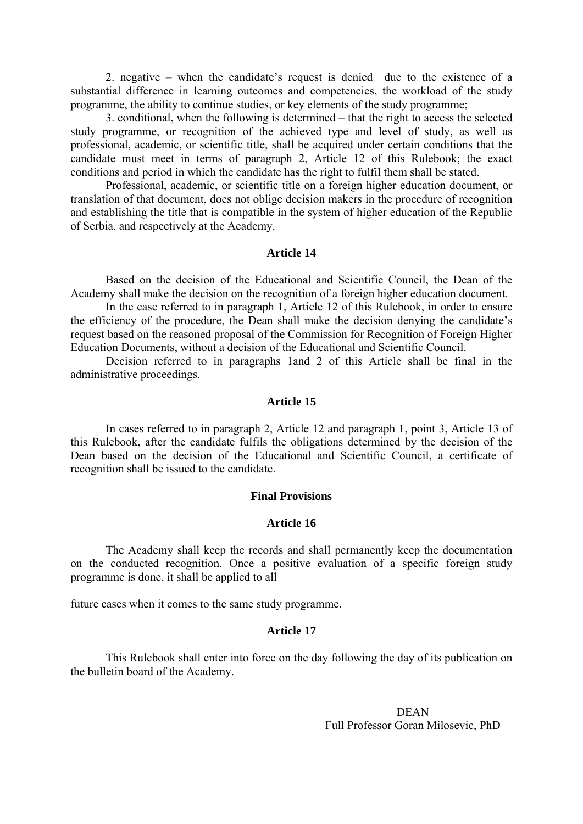2. negative – when the candidate's request is denied due to the existence of a substantial difference in learning outcomes and competencies, the workload of the study programme, the ability to continue studies, or key elements of the study programme;

3. conditional, when the following is determined – that the right to access the selected study programme, or recognition of the achieved type and level of study, as well as professional, academic, or scientific title, shall be acquired under certain conditions that the candidate must meet in terms of paragraph 2, Article 12 of this Rulebook; the exact conditions and period in which the candidate has the right to fulfil them shall be stated.

Professional, academic, or scientific title on a foreign higher education document, or translation of that document, does not oblige decision makers in the procedure of recognition and establishing the title that is compatible in the system of higher education of the Republic of Serbia, and respectively at the Academy.

### **Article 14**

Based on the decision of the Educational and Scientific Council, the Dean of the Academy shall make the decision on the recognition of a foreign higher education document.

In the case referred to in paragraph 1, Article 12 of this Rulebook, in order to ensure the efficiency of the procedure, the Dean shall make the decision denying the candidate's request based on the reasoned proposal of the Commission for Recognition of Foreign Higher Education Documents, without a decision of the Educational and Scientific Council.

Decision referred to in paragraphs 1and 2 of this Article shall be final in the administrative proceedings.

### **Article 15**

In cases referred to in paragraph 2, Article 12 and paragraph 1, point 3, Article 13 of this Rulebook, after the candidate fulfils the obligations determined by the decision of the Dean based on the decision of the Educational and Scientific Council, a certificate of recognition shall be issued to the candidate.

### **Final Provisions**

### **Article 16**

The Academy shall keep the records and shall permanently keep the documentation on the conducted recognition. Once a positive evaluation of a specific foreign study programme is done, it shall be applied to all

future cases when it comes to the same study programme.

#### **Article 17**

This Rulebook shall enter into force on the day following the day of its publication on the bulletin board of the Academy.

> DEAN Full Professor Goran Milosevic, PhD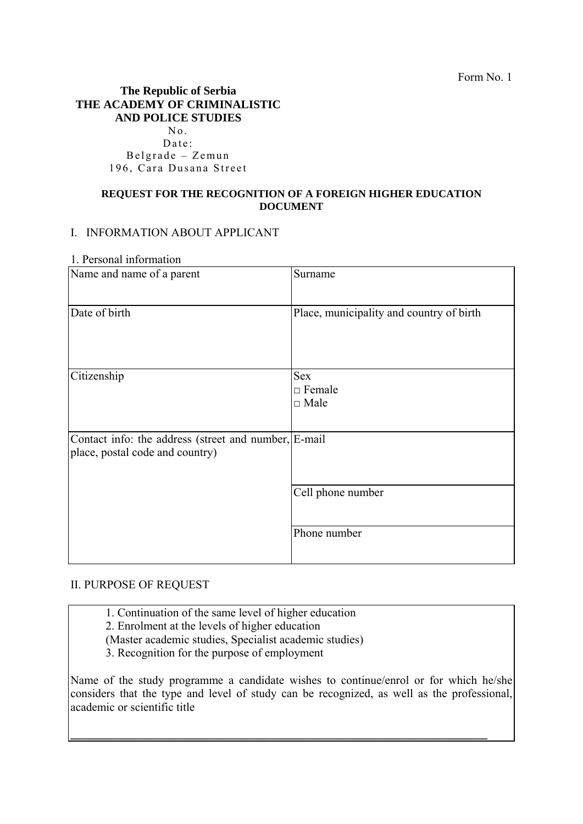Form No. 1

# **The Republic of Serbia THE ACADEMY OF CRIMINALISTIC AND POLICE STUDIES**   $No.$ Date: Belgrade – Zemun

196, Cara Dusana Street

### **REQUEST FOR THE RECOGNITION OF A FOREIGN HIGHER EDUCATION DOCUMENT**

### I. INFORMATION ABOUT APPLICANT

1. Personal information

| Name and name of a parent                                                               | Surname                                    |
|-----------------------------------------------------------------------------------------|--------------------------------------------|
| Date of birth                                                                           | Place, municipality and country of birth   |
| Citizenship                                                                             | <b>Sex</b><br>$\Box$ Female<br>$\Box$ Male |
| Contact info: the address (street and number, E-mail<br>place, postal code and country) |                                            |
|                                                                                         | Cell phone number                          |
|                                                                                         | Phone number                               |

# II. PURPOSE OF REQUEST

1. Continuation of the same level of higher education

2. Enrolment at the levels of higher education

(Master academic studies, Specialist academic studies)

3. Recognition for the purpose of employment

Name of the study programme a candidate wishes to continue/enrol or for which he/she considers that the type and level of study can be recognized, as well as the professional, academic or scientific title

**\_\_\_\_\_\_\_\_\_\_\_\_\_\_\_\_\_\_\_\_\_\_\_\_\_\_\_\_\_\_\_\_\_\_\_\_\_\_\_\_\_\_\_\_\_\_\_\_\_\_\_\_\_\_\_\_\_\_\_\_\_\_\_\_\_\_\_\_\_\_\_**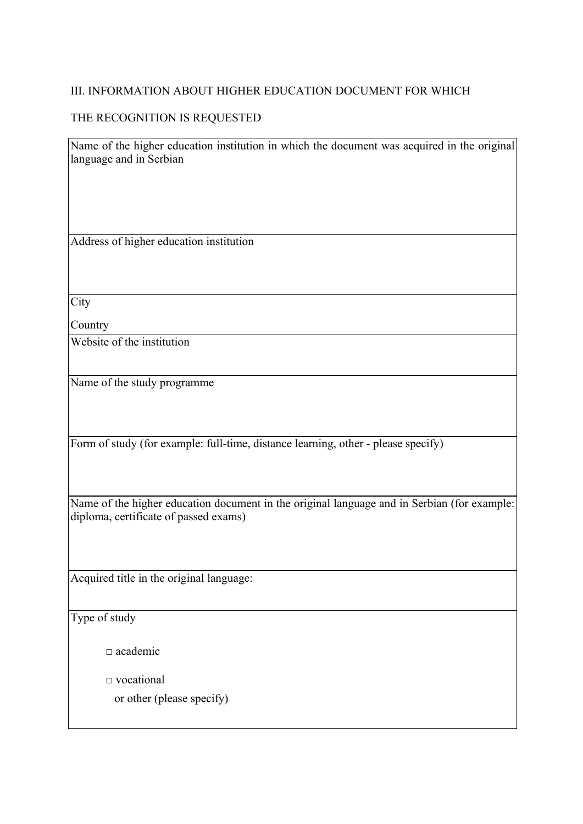# III. INFORMATION ABOUT HIGHER EDUCATION DOCUMENT FOR WHICH

# THE RECOGNITION IS REQUESTED

Name of the higher education institution in which the document was acquired in the original language and in Serbian

Address of higher education institution

**City** 

**Country** 

Website of the institution

Name of the study programme

Form of study (for example: full-time, distance learning, other - please specify)

Name of the higher education document in the original language and in Serbian (for example: diploma, certificate of passed exams)

Acquired title in the original language:

Type of study

 $\Box$  academic

□ vocational

or other (please specify)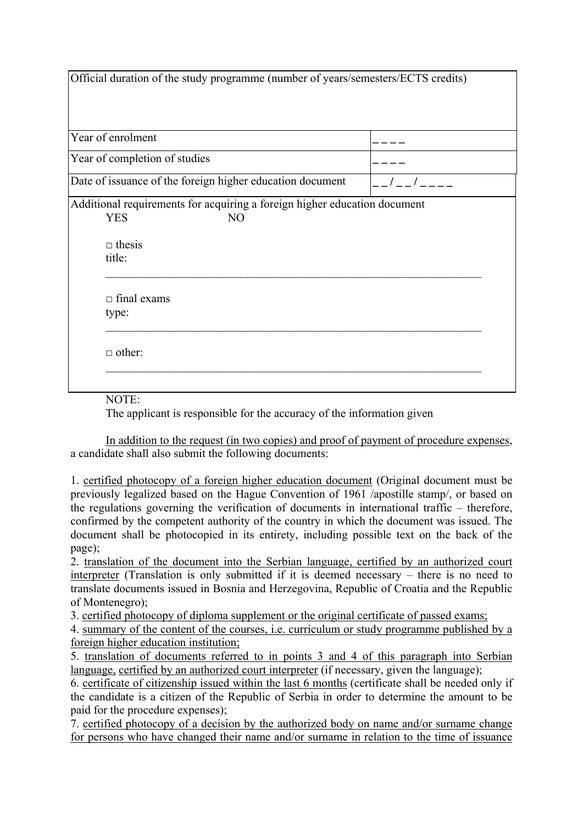| Official duration of the study programme (number of years/semesters/ECTS credits)                         |  |  |
|-----------------------------------------------------------------------------------------------------------|--|--|
|                                                                                                           |  |  |
| Year of enrolment                                                                                         |  |  |
| Year of completion of studies                                                                             |  |  |
| Date of issuance of the foreign higher education document                                                 |  |  |
| Additional requirements for acquiring a foreign higher education document<br><b>YES</b><br>N <sub>O</sub> |  |  |
| $\Box$ thesis<br>title:                                                                                   |  |  |
| $\Box$ final exams<br>type:                                                                               |  |  |
| $\Box$ other:                                                                                             |  |  |
|                                                                                                           |  |  |

NOTE:

The applicant is responsible for the accuracy of the information given

In addition to the request (in two copies) and proof of payment of procedure expenses, a candidate shall also submit the following documents:

1. certified photocopy of a foreign higher education document (Original document must be previously legalized based on the Hague Convention of 1961 /apostille stamp/, or based on the regulations governing the verification of documents in international traffic – therefore, confirmed by the competent authority of the country in which the document was issued. The document shall be photocopied in its entirety, including possible text on the back of the page);

2. translation of the document into the Serbian language, certified by an authorized court interpreter (Translation is only submitted if it is deemed necessary – there is no need to translate documents issued in Bosnia and Herzegovina, Republic of Croatia and the Republic of Montenegro);

3. certified photocopy of diploma supplement or the original certificate of passed exams;

4. summary of the content of the courses, i.e. curriculum or study programme published by a foreign higher education institution;

5. translation of documents referred to in points 3 and 4 of this paragraph into Serbian language, certified by an authorized court interpreter (if necessary, given the language);

6. certificate of citizenship issued within the last 6 months (certificate shall be needed only if the candidate is a citizen of the Republic of Serbia in order to determine the amount to be paid for the procedure expenses);

7. certified photocopy of a decision by the authorized body on name and/or surname change for persons who have changed their name and/or surname in relation to the time of issuance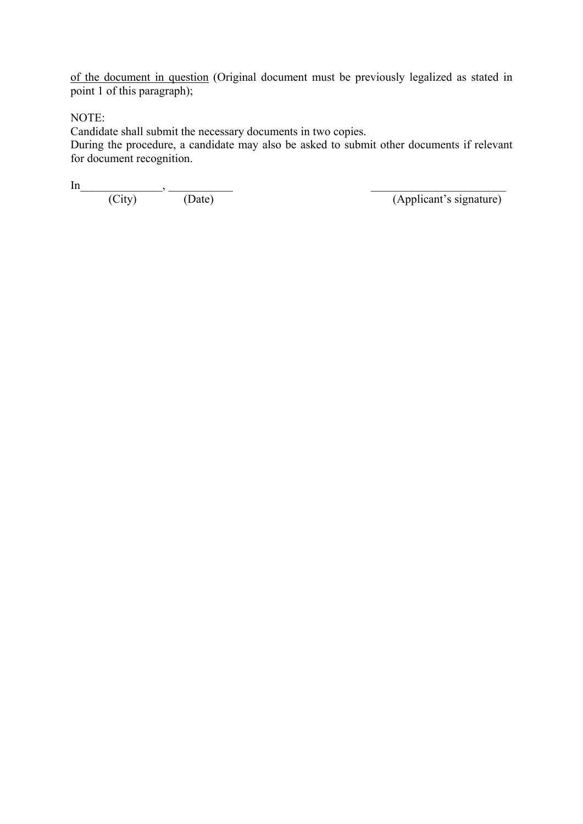of the document in question (Original document must be previously legalized as stated in point 1 of this paragraph);

NOTE:

Candidate shall submit the necessary documents in two copies.

During the procedure, a candidate may also be asked to submit other documents if relevant for document recognition.

 $\text{In}$ (City) (Date) (Applicant's signature)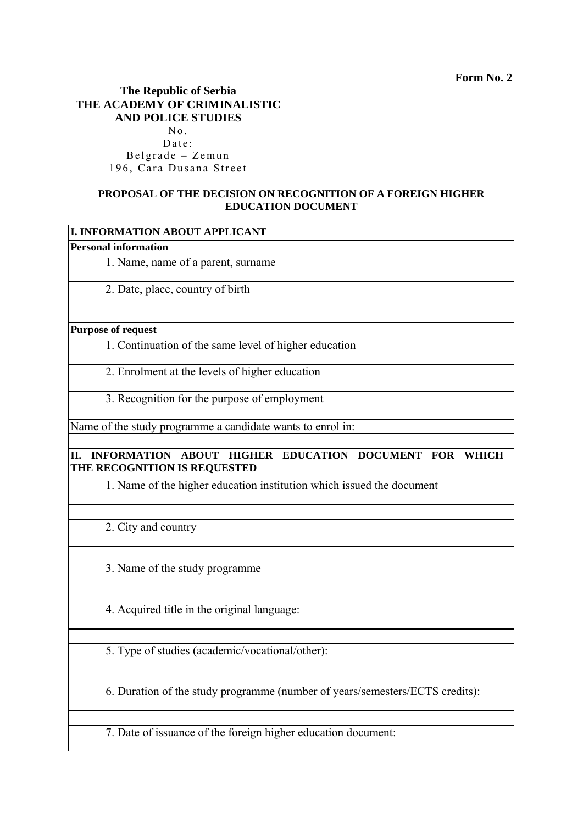# **The Republic of Serbia THE ACADEMY OF CRIMINALISTIC AND POLICE STUDIES**

No. Date: Belgrade – Zemun 196, Cara Dusana Street

# **PROPOSAL OF THE DECISION ON RECOGNITION OF A FOREIGN HIGHER EDUCATION DOCUMENT**

| I. INFORMATION ABOUT APPLICANT                                                                         |
|--------------------------------------------------------------------------------------------------------|
| <b>Personal information</b>                                                                            |
| 1. Name, name of a parent, surname                                                                     |
| 2. Date, place, country of birth                                                                       |
| <b>Purpose of request</b>                                                                              |
| 1. Continuation of the same level of higher education                                                  |
| 2. Enrolment at the levels of higher education                                                         |
| 3. Recognition for the purpose of employment                                                           |
| Name of the study programme a candidate wants to enrol in:                                             |
| INFORMATION ABOUT HIGHER EDUCATION DOCUMENT FOR<br>II.<br><b>WHICH</b><br>THE RECOGNITION IS REQUESTED |
| 1. Name of the higher education institution which issued the document                                  |
| 2. City and country                                                                                    |
| 3. Name of the study programme                                                                         |
| 4. Acquired title in the original language:                                                            |
| 5. Type of studies (academic/vocational/other):                                                        |
| 6. Duration of the study programme (number of years/semesters/ECTS credits):                           |
|                                                                                                        |

7. Date of issuance of the foreign higher education document: